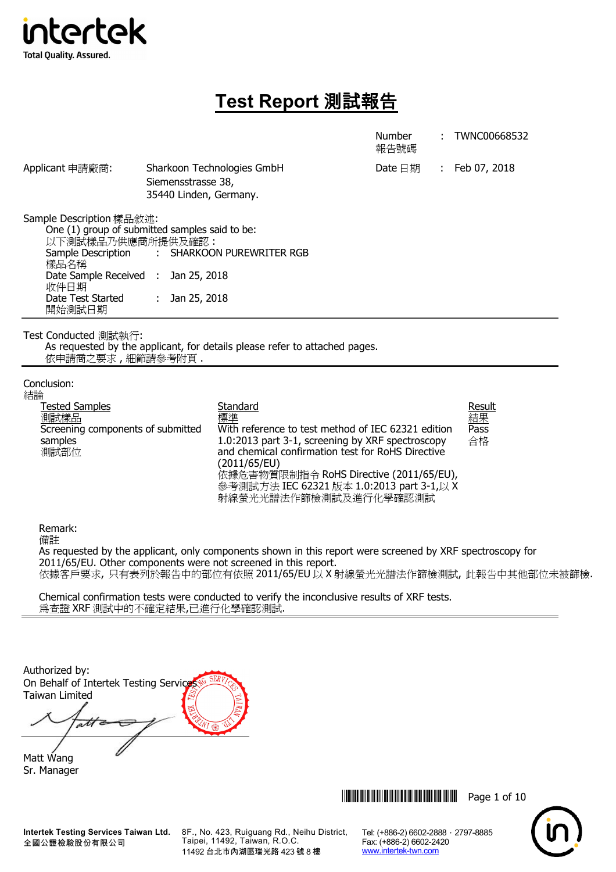

# **Test Report** 測試報告

Number : TWNC00668532

Date 日期 : Feb 07, 2018

報告號碼

| Applicant 申請廠商: | Sharkoon Technologies GmbH |
|-----------------|----------------------------|
|                 | Siemensstrasse 38,         |
|                 | 35440 Linden, Germany.     |

Sample Description 樣品敘述:

One (1) group of submitted samples said to be: 以下測試樣品乃供應商所提供及確認 : Sample Description 樣品名稱 : SHARKOON PUREWRITER RGB Date Sample Received : 收件日期 : Jan 25, 2018 Date Test Started 開始測試日期 : Jan 25, 2018

Test Conducted 測試執行:

As requested by the applicant, for details please refer to attached pages. 依申請商之要求, 細節請參考附頁

# Conclusion:

| 結論                                |                                                    |              |
|-----------------------------------|----------------------------------------------------|--------------|
| <b>Tested Samples</b>             | Standard                                           | <u>R</u>     |
| 測試樣品                              | 標準                                                 | 箹            |
| Screening components of submitted | With reference to test method of IEC 62321 edition | P            |
| samples                           | 1.0:2013 part 3-1, screening by XRF spectroscopy   | $\triangleq$ |
| 測試部位                              | and chemical confirmation test for RoHS Directive  |              |
|                                   | (2011/65/EU)                                       |              |
|                                   | 依據危害物質限制指令 RoHS Directive (2011/65/EU),            |              |
|                                   | 參考測試方法 IEC 62321 版本 1.0:2013 part 3-1,以 X          |              |
|                                   | 射線螢光光譜法作篩檢測試及進行化學確認測試                              |              |

## **esult** 結果 ass 合格

Remark:

備註

As requested by the applicant, only components shown in this report were screened by XRF spectroscopy for 2011/65/EU. Other components were not screened in this report. 依據客戶要求, 只有表列於報告中的部位有依照 2011/65/EU 以 X 射線螢光光譜法作篩檢測試, 此報告中其他部位未被篩檢.

Chemical confirmation tests were conducted to verify the inconclusive results of XRF tests. 為查證 XRF 測試中的不確定結果,已進行化學確認測試.

| Authorized by:<br>On Behalf of Intertek Testing Services |  |
|----------------------------------------------------------|--|
| Taiwan Limited                                           |  |
|                                                          |  |
|                                                          |  |

Matt Wang Sr. Manager

8F., No. 423, Ruiguang Rd., Neihu District, Taipei, 11492, Taiwan, R.O.C. 11492 台北市內湖區瑞光路 423 號 8 樓



Tel: (+886-2) 6602-2888 · 2797-8885

Fax: (+886-2) 6602-2420 www.intertek-twn.com

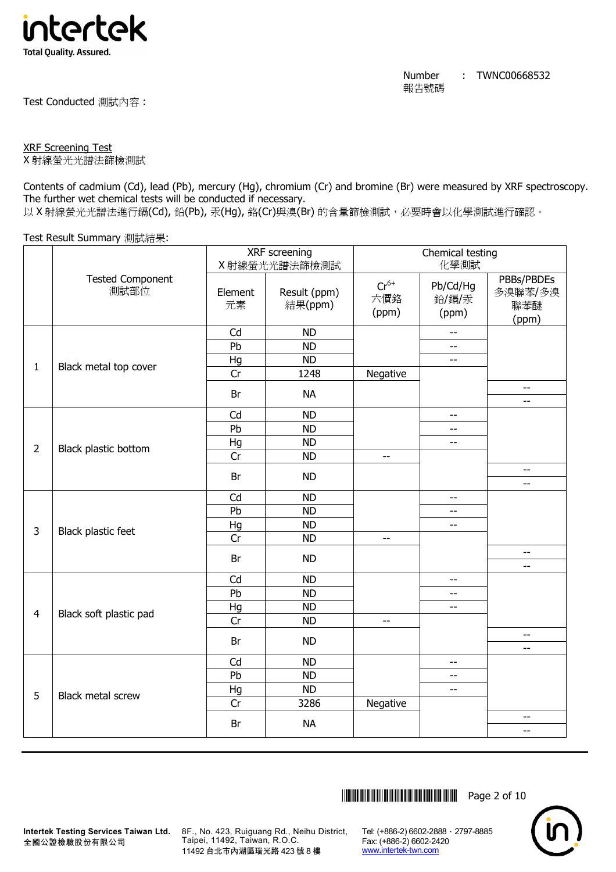

Test Conducted 測試內容 :

# XRF Screening Test

X 射線螢光光譜法篩檢測試

Contents of cadmium (Cd), lead (Pb), mercury (Hg), chromium (Cr) and bromine (Br) were measured by XRF spectroscopy. The further wet chemical tests will be conducted if necessary.

以 X 射線螢光光譜法進行鎘(Cd), 鉛(Pb), 汞(Hq), 鉻(Cr)與溴(Br) 的含量篩檢測試, 必要時會以化學測試進行確認。

# Test Result Summary 測試結果:

|                |                                 | XRF screening |                         | Chemical testing          |                                                     |                                       |
|----------------|---------------------------------|---------------|-------------------------|---------------------------|-----------------------------------------------------|---------------------------------------|
|                |                                 |               | X射線螢光光譜法篩檢測試            |                           | 化學測試                                                |                                       |
|                | <b>Tested Component</b><br>測試部位 | Element<br>元素 | Result (ppm)<br>結果(ppm) | $Cr^{6+}$<br>六價鉻<br>(ppm) | Pb/Cd/Hg<br>鉛/鎘/汞<br>(ppm)                          | PBBs/PBDEs<br>多溴聯苯/多溴<br>聯苯醚<br>(ppm) |
|                |                                 | Cd            | <b>ND</b>               |                           | $-$                                                 |                                       |
|                |                                 | Pb            | <b>ND</b>               |                           | $\overline{\phantom{a}}$                            |                                       |
| $\mathbf{1}$   | Black metal top cover           | Hg            | <b>ND</b>               |                           | $\overline{\phantom{m}}$                            |                                       |
|                |                                 | Cr            | 1248                    | Negative                  |                                                     |                                       |
|                |                                 | Br            | <b>NA</b>               |                           |                                                     | $\overline{\phantom{m}}$<br>$-$       |
|                |                                 | Cd            | <b>ND</b>               |                           | $\overline{\phantom{a}}$                            |                                       |
|                |                                 | Pb            | <b>ND</b>               |                           | $-$                                                 |                                       |
|                |                                 | Hg            | <b>ND</b>               |                           | $\hspace{0.05cm} -\hspace{0.05cm} -\hspace{0.05cm}$ |                                       |
| $\overline{2}$ | Black plastic bottom            | Cr            | <b>ND</b>               | $\overline{\phantom{m}}$  |                                                     |                                       |
|                |                                 | Br            | <b>ND</b>               |                           |                                                     | $\overline{a}$                        |
|                |                                 |               |                         |                           |                                                     | $\overline{\phantom{a}}$              |
|                |                                 | Cd            | <b>ND</b>               |                           | $\overline{\phantom{a}}$                            |                                       |
|                |                                 | Pb            | <b>ND</b>               |                           | $- -$                                               |                                       |
| 3              | Black plastic feet              | Hg            | <b>ND</b>               |                           | $\overline{\phantom{a}}$                            |                                       |
|                |                                 | Cr            | <b>ND</b>               | $\overline{a}$            |                                                     |                                       |
|                |                                 | Br            | <b>ND</b>               |                           |                                                     | $-$<br>$-$                            |
|                |                                 | Cd            | <b>ND</b>               |                           | $-$                                                 |                                       |
|                |                                 | Pb            | <b>ND</b>               |                           | $-$                                                 |                                       |
| $\overline{4}$ | Black soft plastic pad          | Hg            | <b>ND</b>               |                           | $-$                                                 |                                       |
|                |                                 | Cr            | <b>ND</b>               | $\overline{\phantom{m}}$  |                                                     |                                       |
|                |                                 | Br            | <b>ND</b>               |                           |                                                     | $- -$                                 |
|                |                                 |               |                         |                           |                                                     | $- -$                                 |
|                |                                 | Cd            | <b>ND</b>               |                           | $\overline{\phantom{m}}$                            |                                       |
|                |                                 | Pb            | <b>ND</b>               |                           | $\overline{\phantom{a}}$                            |                                       |
| 5              | Black metal screw               | Hg            | <b>ND</b>               |                           | $\overline{\phantom{a}}$                            |                                       |
|                |                                 | Cr            | 3286                    | Negative                  |                                                     | $\overline{\phantom{a}}$              |
|                |                                 | Br            | <b>NA</b>               |                           |                                                     | $-$                                   |
|                |                                 |               |                         |                           |                                                     |                                       |



**Intertek Testing Services Taiwan Ltd.** 全國公證檢驗股份有限公司

8F., No. 423, Ruiguang Rd., Neihu District, Taipei, 11492, Taiwan, R.O.C. 11492 台北市內湖區瑞光路 423 號 8 樓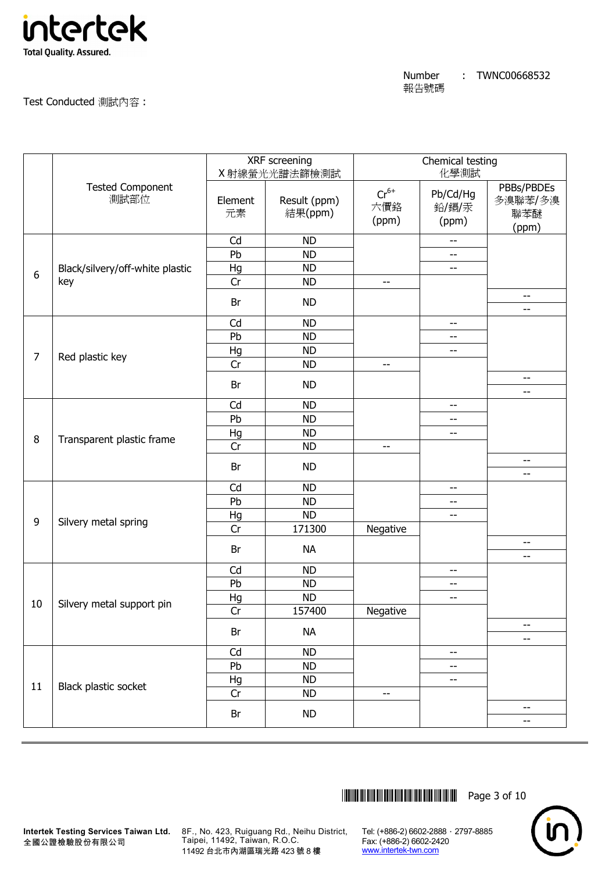

Test Conducted 測試內容 :

|                |                                 |               | XRF screening<br>X 射線螢光光譜法篩檢測試 | Chemical testing<br>化學測試  |                                                     |                                       |
|----------------|---------------------------------|---------------|--------------------------------|---------------------------|-----------------------------------------------------|---------------------------------------|
|                | <b>Tested Component</b><br>測試部位 | Element<br>元素 | Result (ppm)<br>結果(ppm)        | $Cr^{6+}$<br>六價鉻<br>(ppm) | Pb/Cd/Hg<br>鉛/鎘/汞<br>(ppm)                          | PBBs/PBDEs<br>多溴聯苯/多溴<br>聯苯醚<br>(ppm) |
|                |                                 | Cd            | <b>ND</b>                      |                           | $\hspace{0.05cm} -\hspace{0.05cm} -\hspace{0.05cm}$ |                                       |
|                |                                 | Pb            | <b>ND</b>                      |                           | --                                                  |                                       |
| 6              | Black/silvery/off-white plastic | Hg            | <b>ND</b>                      |                           | --                                                  |                                       |
|                | key                             | Cr            | <b>ND</b>                      | $-$                       |                                                     |                                       |
|                |                                 | Br            | <b>ND</b>                      |                           |                                                     | --<br>--                              |
|                |                                 | Cd            | <b>ND</b>                      |                           | --                                                  |                                       |
|                |                                 | Pb            | <b>ND</b>                      |                           | --                                                  |                                       |
|                |                                 | Hg            | <b>ND</b>                      |                           | $-$                                                 |                                       |
| $\overline{7}$ | Red plastic key                 | Cr            | <b>ND</b>                      | $-$                       |                                                     |                                       |
|                |                                 | Br            | <b>ND</b>                      |                           |                                                     | $-$                                   |
|                |                                 |               |                                |                           |                                                     | --                                    |
|                |                                 | Cd            | <b>ND</b>                      |                           | $-$                                                 |                                       |
|                |                                 | Pb            | <b>ND</b>                      |                           | --                                                  |                                       |
| 8              | Transparent plastic frame       | Hg            | <b>ND</b>                      |                           | --                                                  |                                       |
|                |                                 | Cr            | <b>ND</b>                      | $\overline{\phantom{a}}$  |                                                     |                                       |
|                |                                 | Br            | <b>ND</b>                      |                           |                                                     | --<br>--                              |
|                |                                 | Cd            | <b>ND</b>                      |                           | $-$                                                 |                                       |
|                |                                 | Pb            | <b>ND</b>                      |                           | --                                                  |                                       |
|                |                                 | Hg            | <b>ND</b>                      |                           | --                                                  |                                       |
| 9              | Silvery metal spring            | Cr            | 171300                         | Negative                  |                                                     |                                       |
|                |                                 | Br            | <b>NA</b>                      |                           |                                                     | --<br>--                              |
|                |                                 | Cd            | <b>ND</b>                      |                           | --                                                  |                                       |
|                |                                 | Pb            | <b>ND</b>                      |                           | --                                                  |                                       |
|                |                                 | Hg            | <b>ND</b>                      |                           | --                                                  |                                       |
| 10             | Silvery metal support pin       | Cr            | 157400                         | Negative                  |                                                     |                                       |
|                |                                 | Br            | <b>NA</b>                      |                           |                                                     | --                                    |
|                |                                 |               |                                |                           |                                                     | --                                    |
|                |                                 | Cd            | <b>ND</b>                      |                           | --                                                  |                                       |
|                |                                 | Pb            | <b>ND</b>                      |                           | --                                                  |                                       |
| 11             | Black plastic socket            | Hg            | ND                             |                           | --                                                  |                                       |
|                |                                 | Cr            | <b>ND</b>                      | $-$                       |                                                     |                                       |
|                |                                 | Br            | <b>ND</b>                      |                           |                                                     | --<br>--                              |
|                |                                 |               |                                |                           |                                                     |                                       |



**Intertek Testing Services Taiwan Ltd.** 8F., No. 423, Ruiguang Rd., Neihu District, Taipei, 11492, Taiwan, R.O.C. 11492 台北市內湖區瑞光路 423 號 8 樓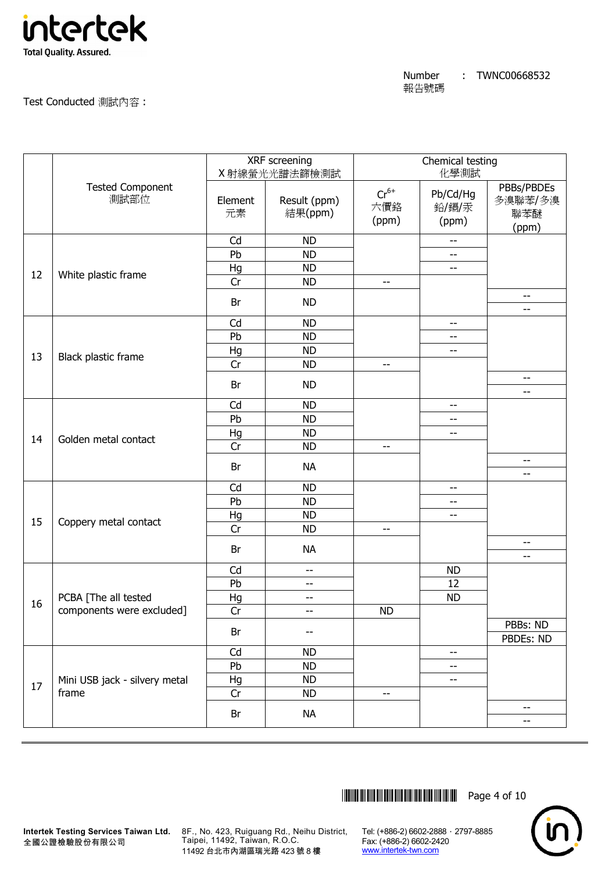

# Test Conducted 測試內容 :

|    |                                 |               | XRF screening<br>X 射線螢光光譜法篩檢測試 | Chemical testing<br>化學測試  |                            |                                       |
|----|---------------------------------|---------------|--------------------------------|---------------------------|----------------------------|---------------------------------------|
|    | <b>Tested Component</b><br>測試部位 | Element<br>元素 | Result (ppm)<br>結果(ppm)        | $Cr^{6+}$<br>六價鉻<br>(ppm) | Pb/Cd/Hg<br>鉛/鎘/汞<br>(ppm) | PBBs/PBDEs<br>多溴聯苯/多溴<br>聯苯醚<br>(ppm) |
|    |                                 | Cd            | <b>ND</b>                      |                           | --                         |                                       |
|    |                                 | Pb            | <b>ND</b>                      |                           | $-$                        |                                       |
| 12 | White plastic frame             | Hg            | <b>ND</b>                      |                           | --                         |                                       |
|    |                                 | Cr            | <b>ND</b>                      | $-$                       |                            |                                       |
|    |                                 | Br            | <b>ND</b>                      |                           |                            | --<br>$- -$                           |
|    |                                 | Cd            | <b>ND</b>                      |                           | --                         |                                       |
|    |                                 | Pb            | <b>ND</b>                      |                           | --                         |                                       |
|    |                                 | Hg            | <b>ND</b>                      |                           | $\overline{a}$             |                                       |
| 13 | Black plastic frame             | Cr            | <b>ND</b>                      | $-$                       |                            |                                       |
|    |                                 | Br            | <b>ND</b>                      |                           |                            | $-$                                   |
|    |                                 | Cd            | <b>ND</b>                      |                           | --                         | $-$                                   |
|    |                                 | Pb            | <b>ND</b>                      |                           | --                         |                                       |
|    |                                 | Hg            | <b>ND</b>                      |                           | --                         |                                       |
| 14 | Golden metal contact            | Cr            | <b>ND</b>                      | $-$                       |                            |                                       |
|    |                                 |               |                                |                           |                            | --                                    |
|    |                                 | Br            | <b>NA</b>                      |                           |                            | --                                    |
|    |                                 | Cd            | <b>ND</b>                      |                           | --                         |                                       |
|    |                                 | Pb            | <b>ND</b>                      |                           | --                         |                                       |
| 15 | Coppery metal contact           | Hg            | <b>ND</b>                      |                           | --                         |                                       |
|    |                                 | Cr            | <b>ND</b>                      | --                        |                            |                                       |
|    |                                 | Br            | <b>NA</b>                      |                           |                            | --<br>--                              |
|    |                                 | Cd            | --                             |                           | <b>ND</b>                  |                                       |
|    |                                 | Pb            | --                             |                           | 12                         |                                       |
|    | PCBA [The all tested            | Hg            | --                             |                           | <b>ND</b>                  |                                       |
| 16 | components were excluded]       | Cr            | --                             | <b>ND</b>                 |                            |                                       |
|    |                                 |               |                                |                           |                            | PBBs: ND                              |
|    |                                 | Br            | --                             |                           |                            | PBDEs: ND                             |
|    |                                 | Cd            | <b>ND</b>                      |                           | --                         |                                       |
|    |                                 | Pb            | <b>ND</b>                      |                           | --                         |                                       |
| 17 | Mini USB jack - silvery metal   | Hg            | <b>ND</b>                      |                           | --                         |                                       |
|    | frame                           | Cr            | <b>ND</b>                      | --                        |                            |                                       |
|    |                                 | Br            | <b>NA</b>                      |                           |                            | $- -$<br>$- -$                        |
|    |                                 |               |                                |                           |                            |                                       |

\*THJ0668532\* Page 4 of 10



全國公證檢驗股份有限公司

**Intertek Testing Services Taiwan Ltd.** 8F., No. 423, Ruiguang Rd., Neihu District, Taipei, 11492, Taiwan, R.O.C. 11492 台北市內湖區瑞光路 423 號 8 樓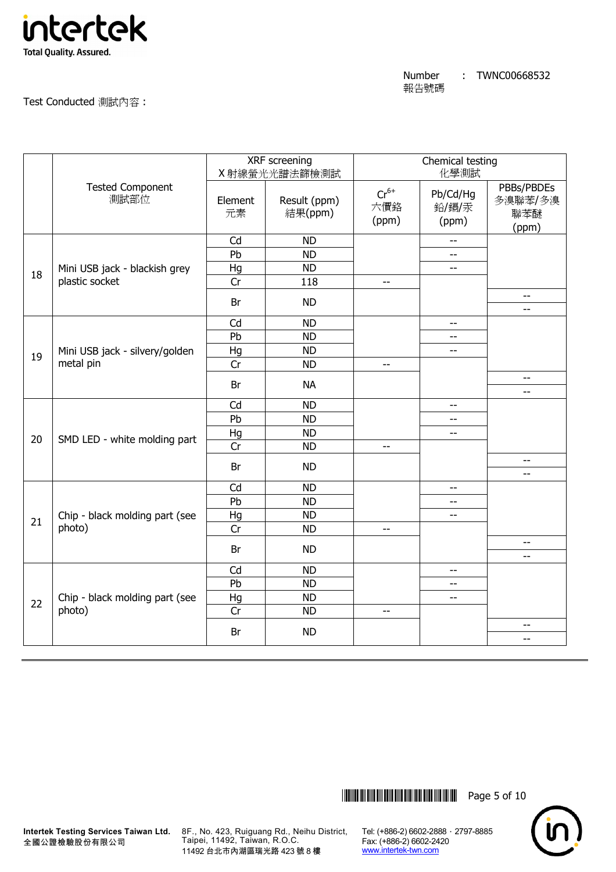

Test Conducted 測試內容 :

|    |                                          | XRF screening<br>X射線螢光光譜法篩檢測試 |                         | Chemical testing<br>化學測試  |                            |                                            |
|----|------------------------------------------|-------------------------------|-------------------------|---------------------------|----------------------------|--------------------------------------------|
|    | <b>Tested Component</b><br>測試部位          | Element<br>元素                 | Result (ppm)<br>結果(ppm) | $Cr^{6+}$<br>六價鉻<br>(ppm) | Pb/Cd/Hg<br>鉛/鎘/汞<br>(ppm) | PBBs/PBDEs<br>多溴聯苯/多溴<br>聯苯醚<br>(ppm)      |
|    |                                          | Cd                            | <b>ND</b>               |                           | $\overline{a}$             |                                            |
|    |                                          | Pb                            | <b>ND</b>               |                           | --                         |                                            |
| 18 | Mini USB jack - blackish grey            | Hg                            | <b>ND</b>               |                           | $-$                        |                                            |
|    | plastic socket                           | Cr                            | 118                     | $\overline{\phantom{a}}$  |                            |                                            |
|    |                                          | Br                            | <b>ND</b>               |                           |                            | $\overline{\phantom{m}}$<br>$-$            |
|    |                                          | Cd                            | <b>ND</b>               |                           | $-$                        |                                            |
|    |                                          | Pb                            | <b>ND</b>               |                           | $-$                        |                                            |
| 19 | Mini USB jack - silvery/golden           | Hg                            | <b>ND</b>               |                           | $\overline{\phantom{a}}$   |                                            |
|    | metal pin                                | Cr                            | <b>ND</b>               | $-$                       |                            |                                            |
|    |                                          | Br                            | <b>NA</b>               |                           |                            | $\overline{a}$<br>$\overline{\phantom{a}}$ |
|    |                                          | Cd                            | <b>ND</b>               |                           | $-$                        |                                            |
|    |                                          | Pb                            | <b>ND</b>               |                           | $-$                        |                                            |
|    |                                          | Hg                            | <b>ND</b>               |                           | $-$                        |                                            |
| 20 | SMD LED - white molding part             | Cr                            | <b>ND</b>               | $-$                       |                            |                                            |
|    |                                          | Br                            | <b>ND</b>               |                           |                            | $-$<br>$\overline{\phantom{m}}$            |
|    |                                          | Cd                            | <b>ND</b>               |                           | 44                         |                                            |
|    |                                          | Pb                            | <b>ND</b>               |                           | $\overline{\phantom{a}}$   |                                            |
|    | Chip - black molding part (see           | Hg                            | <b>ND</b>               |                           | $\overline{\phantom{a}}$   |                                            |
| 21 | photo)                                   | Cr                            | <b>ND</b>               | $-$                       |                            |                                            |
|    |                                          | Br                            | <b>ND</b>               |                           |                            | $\overline{\phantom{a}}$                   |
|    |                                          |                               | <b>ND</b>               |                           |                            | $- -$                                      |
|    |                                          | Cd<br>Pb                      | <b>ND</b>               |                           | $-$<br>$\overline{a}$      |                                            |
|    |                                          | Hg                            | <b>ND</b>               |                           | $\overline{a}$             |                                            |
| 22 | Chip - black molding part (see<br>photo) | Cr                            | <b>ND</b>               | $-$                       |                            |                                            |
|    |                                          |                               |                         |                           |                            | $\overline{\phantom{m}}$                   |
|    |                                          | Br                            | <b>ND</b>               |                           |                            | $- -$                                      |
|    |                                          |                               |                         |                           |                            |                                            |



全國公證檢驗股份有限公司

**Intertek Testing Services Taiwan Ltd.** 8F., No. 423, Ruiguang Rd., Neihu District, Taipei, 11492, Taiwan, R.O.C. 11492 台北市內湖區瑞光路 423 號 8 樓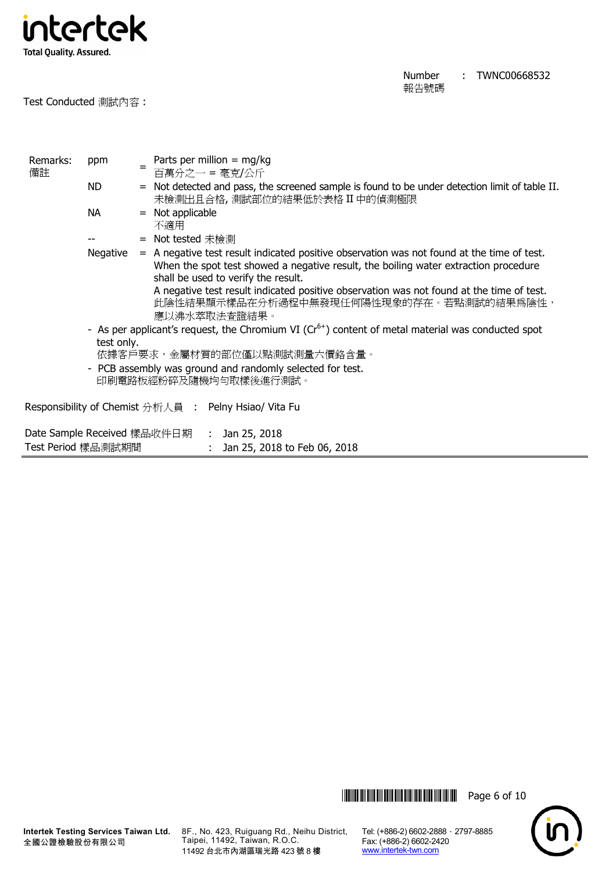

Test Conducted 測試內容 :

| Remarks:<br>備註     | ppm                                                                                | Parts per million = $mg/kg$<br>$=$<br>百萬分之一 = 毫克/公斤                                                                                                                                                                        |  |  |  |  |  |  |
|--------------------|------------------------------------------------------------------------------------|----------------------------------------------------------------------------------------------------------------------------------------------------------------------------------------------------------------------------|--|--|--|--|--|--|
|                    | ND.                                                                                | = Not detected and pass, the screened sample is found to be under detection limit of table II.<br>未檢測出且合格,測試部位的結果低於表格 II 中的偵測極限                                                                                            |  |  |  |  |  |  |
|                    | <b>NA</b>                                                                          | Not applicable<br>$=$<br>不適用                                                                                                                                                                                               |  |  |  |  |  |  |
|                    |                                                                                    | = Not tested 未檢測                                                                                                                                                                                                           |  |  |  |  |  |  |
|                    | Negative                                                                           | $=$ A negative test result indicated positive observation was not found at the time of test.<br>When the spot test showed a negative result, the boiling water extraction procedure<br>shall be used to verify the result. |  |  |  |  |  |  |
|                    |                                                                                    | A negative test result indicated positive observation was not found at the time of test.<br>此陰性結果顯示樣品在分析過程中無發現任何陽性現象的存在。若點測試的結果爲陰性,<br>應以沸水萃取法查證結果。                                                                        |  |  |  |  |  |  |
|                    | test only.                                                                         | - As per applicant's request, the Chromium VI ( $Cr6+$ ) content of metal material was conducted spot<br>依據客戶要求,金屬材質的部位僅以點測試測量六價鉻含量。                                                                                       |  |  |  |  |  |  |
|                    | - PCB assembly was ground and randomly selected for test.<br>印刷電路板經粉碎及隨機均勻取樣後進行測試。 |                                                                                                                                                                                                                            |  |  |  |  |  |  |
|                    |                                                                                    | Responsibility of Chemist 分析人員 : Pelny Hsiao/ Vita Fu                                                                                                                                                                      |  |  |  |  |  |  |
| Test Period 樣品測試期間 |                                                                                    | Date Sample Received 樣品收件日期     :   Jan 25, 2018<br>: Jan 25, 2018 to Feb 06, 2018                                                                                                                                         |  |  |  |  |  |  |



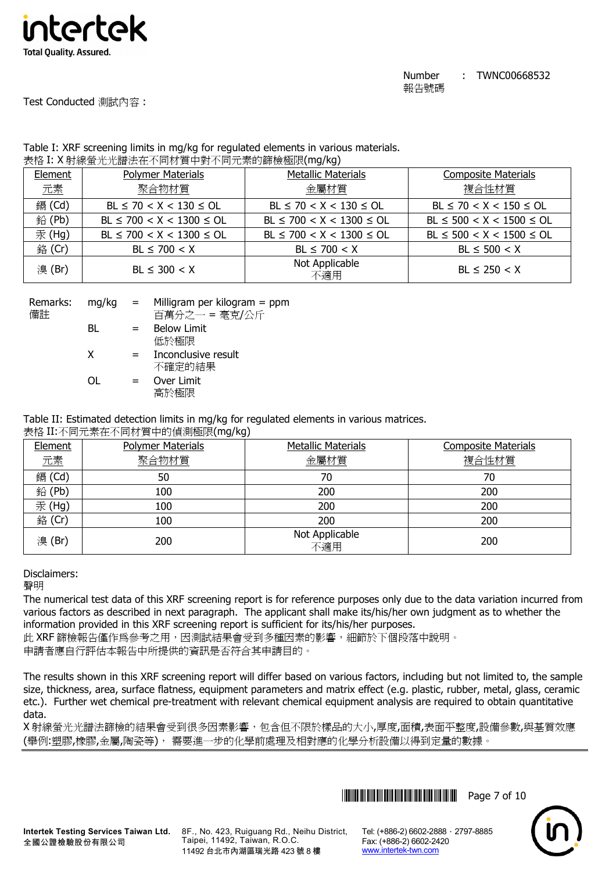

# Test Conducted 測試內容 :

| Table I: XRF screening limits in mg/kg for regulated elements in various materials. |
|-------------------------------------------------------------------------------------|
| 表格 I: X 射線螢光光譜法在不同材質中對不同元素的篩檢極限(mg/kg)                                              |

| - - - <del>- -</del> |                                |                                |                                |
|----------------------|--------------------------------|--------------------------------|--------------------------------|
| Element              | <b>Polymer Materials</b>       | <b>Metallic Materials</b>      | <b>Composite Materials</b>     |
| 元素                   | 聚合物材質                          | 金屬材質                           | 複合性材質                          |
| 鎘 (Cd)               | $BL \le 70 < X < 130 \le OL$   | $BL \le 70 < X < 130 \le OL$   | $BL \le 70 < X < 150 \le OL$   |
| 鉛(Pb)                | $BL \le 700 < X < 1300 \le OL$ | $BL \le 700 < X < 1300 \le OL$ | $BL \le 500 < X < 1500 \le OL$ |
| 汞 (Hg)               | $BL \le 700 < X < 1300 \le OL$ | $BL \le 700 < X < 1300 \le OL$ | $BL \le 500 < X < 1500 \le OL$ |
| 銘 (Cr)               | $BL \le 700 < X$               | $BL \le 700 < X$               | $BL \le 500 < X$               |
| 溴(Br)                | $BL \leq 300 < X$              | Not Applicable<br>不適用          | $BL \le 250 < X$               |

| Remarks: | $mq/kg =$ |     | Milligram per kilogram $=$ ppm |
|----------|-----------|-----|--------------------------------|
| 備註       |           |     | 百萬分之一 = 毫克/公斤                  |
|          | BL        | $=$ | <b>Below Limit</b>             |
|          |           |     | 低於極限                           |
|          | X         | $=$ | Inconclusive result            |
|          |           |     | 不確定的結果                         |
|          | ∩⊫        | $=$ | Over Limit                     |
|          |           |     | 高於極限                           |

Table II: Estimated detection limits in mg/kg for regulated elements in various matrices.

# 表格 II:不同元素在不同材質中的偵測極限(mg/kg)

| Element       | <b>Polymer Materials</b> | <b>Metallic Materials</b> | <b>Composite Materials</b> |
|---------------|--------------------------|---------------------------|----------------------------|
| 元素            | 聚合物材質                    | 金屬材質                      | 複合性材質                      |
| <b>鎘</b> (Cd) | 50                       | 70                        | 70                         |
| 鉛(Pb)         | 100                      | 200                       | 200                        |
| 汞(Hg)         | 100                      | 200                       | 200                        |
| 銘 (Cr)        | 100                      | 200                       | 200                        |
| 溴(Br)         | 200                      | Not Applicable<br>不適用     | 200                        |

# Disclaimers:

聲明

The numerical test data of this XRF screening report is for reference purposes only due to the data variation incurred from various factors as described in next paragraph. The applicant shall make its/his/her own judgment as to whether the information provided in this XRF screening report is sufficient for its/his/her purposes.

此 XRF 篩檢報告僅作為參考之用,因測試結果會受到多種因素的影響,細節於下個段落中說明。 申請者應自行評估本報告中所提供的資訊是否符合其申請目的。

The results shown in this XRF screening report will differ based on various factors, including but not limited to, the sample size, thickness, area, surface flatness, equipment parameters and matrix effect (e.g. plastic, rubber, metal, glass, ceramic etc.). Further wet chemical pre-treatment with relevant chemical equipment analysis are required to obtain quantitative data.

X 射線螢光光譜法篩檢的結果會受到很多因素影響,包含但不限於樣品的大小,厚度,面積,表面平整度,設備參數,與基質效應 (舉例:塑膠,橡膠,金屬,陶瓷等), 需要進一步的化學前處理及相對應的化學分析設備以得到定量的數據。





**Intertek Testing Services Taiwan Ltd.** 全國公證檢驗股份有限公司

8F., No. 423, Ruiguang Rd., Neihu District, Taipei, 11492, Taiwan, R.O.C. 11492 台北市內湖區瑞光路 423 號 8 樓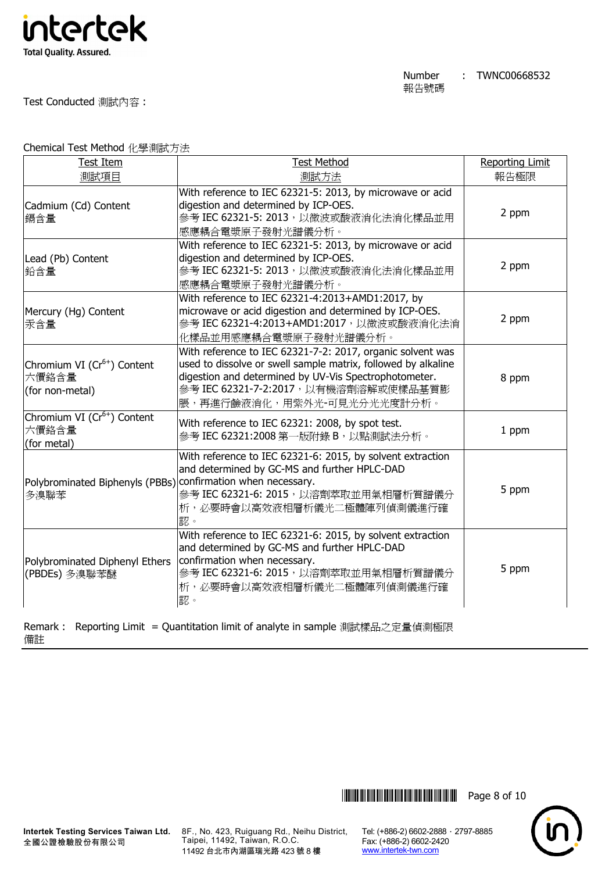

Test Conducted 測試內容 :

Chemical Test Method 化學測試方法

| <b>Test Item</b>                                                     | <b>Test Method</b>                                                                                                                                                                                                                                          | <b>Reporting Limit</b> |
|----------------------------------------------------------------------|-------------------------------------------------------------------------------------------------------------------------------------------------------------------------------------------------------------------------------------------------------------|------------------------|
| 測試項目                                                                 | 測試方法                                                                                                                                                                                                                                                        | 報告極限                   |
| Cadmium (Cd) Content<br>鎘含量                                          | With reference to IEC 62321-5: 2013, by microwave or acid<br>digestion and determined by ICP-OES.<br>參考 IEC 62321-5: 2013, 以微波或酸液消化法消化樣品並用<br>感應耦合電漿原子發射光譜儀分析。                                                                                              | 2 ppm                  |
| Lead (Pb) Content<br>鉛含量                                             | With reference to IEC 62321-5: 2013, by microwave or acid<br>digestion and determined by ICP-OES.<br>參考 IEC 62321-5: 2013, 以微波或酸液消化法消化樣品並用<br>感應耦合電漿原子發射光譜儀分析。                                                                                              | 2 ppm                  |
| Mercury (Hg) Content<br>汞含量                                          | With reference to IEC 62321-4:2013+AMD1:2017, by<br>microwave or acid digestion and determined by ICP-OES.<br>參考 IEC 62321-4:2013+AMD1:2017, 以微波或酸液消化法消<br>化樣品並用感應耦合電漿原子發射光譜儀分析。                                                                            | 2 ppm                  |
| Chromium VI (Cr <sup>6+</sup> ) Content<br>六價鉻含量<br>(for non-metal)  | With reference to IEC 62321-7-2: 2017, organic solvent was<br>used to dissolve or swell sample matrix, followed by alkaline<br>digestion and determined by UV-Vis Spectrophotometer.<br>參考 IEC 62321-7-2:2017, 以有機溶劑溶解或使樣品基質膨<br>脹,再進行鹼液消化,用紫外光-可見光分光光度計分析。 | 8 ppm                  |
| Chromium VI (Cr <sup>6+</sup> ) Content<br>六價鉻含量<br>(for metal)      | With reference to IEC 62321: 2008, by spot test.<br>參考 IEC 62321:2008 第一版附錄 B, 以點測試法分析。                                                                                                                                                                     | 1 ppm                  |
| Polybrominated Biphenyls (PBBs) confirmation when necessary.<br>多溴聯苯 | With reference to IEC 62321-6: 2015, by solvent extraction<br>and determined by GC-MS and further HPLC-DAD<br>參考 IEC 62321-6: 2015, 以溶劑萃取並用氣相層析質譜儀分<br>析,必要時會以高效液相層析儀光二極體陣列偵測儀進行確<br>認。                                                                     | 5 ppm                  |
| Polybrominated Diphenyl Ethers<br>(PBDEs) 多溴聯苯醚                      | With reference to IEC 62321-6: 2015, by solvent extraction<br>and determined by GC-MS and further HPLC-DAD<br>confirmation when necessary.<br>參考 IEC 62321-6: 2015, 以溶劑萃取並用氣相層析質譜儀分<br>析,必要時會以高效液相層析儀光二極體陣列偵測儀進行確<br>認。                                     | 5 ppm                  |

Remark : Reporting Limit = Quantitation limit of analyte in sample 測試樣品之定量偵測極限 備註

**Intertek Testing Services Taiwan Ltd.** 全國公證檢驗股份有限公司

8F., No. 423, Ruiguang Rd., Neihu District, Taipei, 11492, Taiwan, R.O.C. 11492 台北市內湖區瑞光路 423 號 8 樓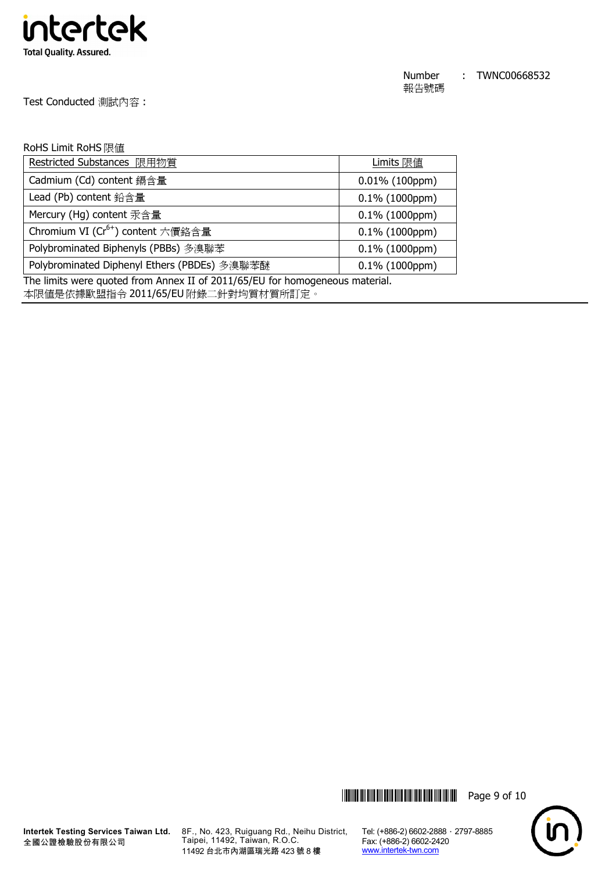

Test Conducted 測試內容 :

# RoHS Limit RoHS 限值

| Restricted Substances 限用物質                    | Limits 限值         |
|-----------------------------------------------|-------------------|
| Cadmium (Cd) content 鎘含量                      | $0.01\%$ (100ppm) |
| Lead (Pb) content 鉛含量                         | $0.1\%$ (1000ppm) |
| Mercury (Hg) content 汞含量                      | $0.1\%$ (1000ppm) |
| Chromium VI (Cr <sup>6+</sup> ) content 六價鉻含量 | $0.1\%$ (1000ppm) |
| Polybrominated Biphenyls (PBBs) 多溴聯苯          | $0.1\%$ (1000ppm) |
| Polybrominated Diphenyl Ethers (PBDEs) 多溴聯苯醚  | $0.1\%$ (1000ppm) |

The limits were quoted from Annex II of 2011/65/EU for homogeneous material.

本限值是依據歐盟指令 2011/65/EU 附錄二針對均質材質所訂定。





**Intertek Testing Services Taiwan Ltd.** 8F., No. 423, Ruiguang Rd., Neihu District, Taipei, 11492, Taiwan, R.O.C. 11492 台北市內湖區瑞光路 423 號 8 樓